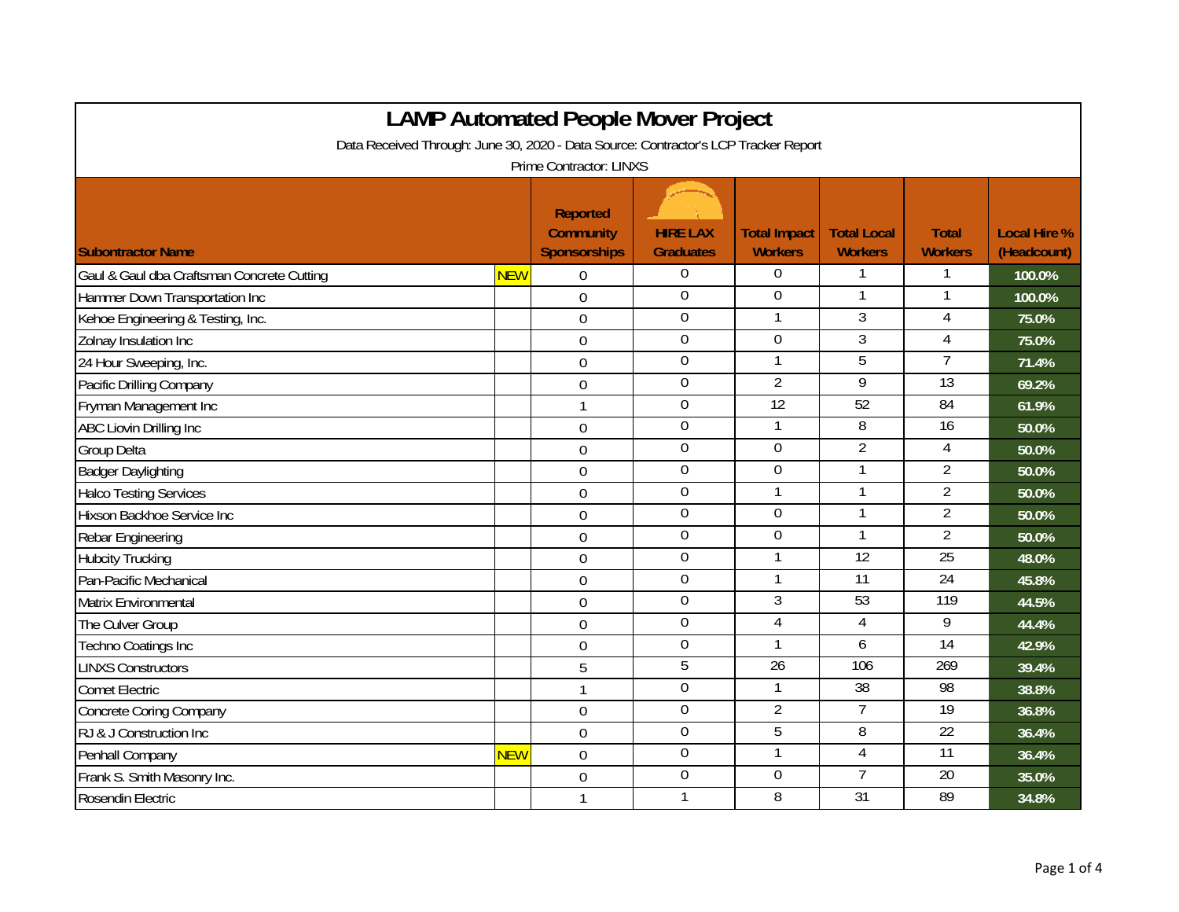| <b>LAMP Automated People Mover Project</b>                                          |            |                                                            |                                     |                                       |                                      |                                |                                    |  |
|-------------------------------------------------------------------------------------|------------|------------------------------------------------------------|-------------------------------------|---------------------------------------|--------------------------------------|--------------------------------|------------------------------------|--|
| Data Received Through: June 30, 2020 - Data Source: Contractor's LCP Tracker Report |            |                                                            |                                     |                                       |                                      |                                |                                    |  |
| Prime Contractor: LINXS                                                             |            |                                                            |                                     |                                       |                                      |                                |                                    |  |
| <b>Subontractor Name</b>                                                            |            | <b>Reported</b><br><b>Community</b><br><b>Sponsorships</b> | <b>HIRE LAX</b><br><b>Graduates</b> | <b>Total Impact</b><br><b>Workers</b> | <b>Total Local</b><br><b>Workers</b> | <b>Total</b><br><b>Workers</b> | <b>Local Hire %</b><br>(Headcount) |  |
| Gaul & Gaul dba Craftsman Concrete Cutting                                          | <b>NEW</b> | $\overline{0}$                                             | 0                                   | 0                                     | 1                                    | 1                              | 100.0%                             |  |
| Hammer Down Transportation Inc                                                      |            | $\overline{0}$                                             | $\mathbf 0$                         | 0                                     | $\mathbf{1}$                         |                                | 100.0%                             |  |
| Kehoe Engineering & Testing, Inc.                                                   |            | $\boldsymbol{0}$                                           | $\mathbf 0$                         | 1                                     | $\overline{3}$                       | 4                              | 75.0%                              |  |
| Zolnay Insulation Inc                                                               |            | $\mathbf 0$                                                | $\overline{0}$                      | $\overline{0}$                        | $\overline{3}$                       | $\overline{4}$                 | 75.0%                              |  |
| 24 Hour Sweeping, Inc.                                                              |            | $\mathbf 0$                                                | $\overline{0}$                      | $\mathbf{1}$                          | $\overline{5}$                       | $\overline{7}$                 | 71.4%                              |  |
| Pacific Drilling Company                                                            |            | $\mathbf 0$                                                | 0                                   | $\overline{2}$                        | 9                                    | $\overline{13}$                | 69.2%                              |  |
| Fryman Management Inc                                                               |            | $\mathbf{1}$                                               | $\mathbf 0$                         | 12                                    | 52                                   | $\overline{84}$                | 61.9%                              |  |
| ABC Liovin Drilling Inc                                                             |            | $\mathbf 0$                                                | $\boldsymbol{0}$                    | 1                                     | 8                                    | 16                             | 50.0%                              |  |
| Group Delta                                                                         |            | $\boldsymbol{0}$                                           | $\mathbf 0$                         | $\mathbf 0$                           | $\overline{2}$                       | $\overline{4}$                 | 50.0%                              |  |
| <b>Badger Daylighting</b>                                                           |            | $\mathbf 0$                                                | $\boldsymbol{0}$                    | $\boldsymbol{0}$                      | $\mathbf{1}$                         | $\overline{2}$                 | 50.0%                              |  |
| <b>Halco Testing Services</b>                                                       |            | $\mathbf 0$                                                | $\mathbf 0$                         | 1                                     | $\mathbf{1}$                         | $\overline{2}$                 | 50.0%                              |  |
| Hixson Backhoe Service Inc                                                          |            | $\overline{0}$                                             | $\boldsymbol{0}$                    | 0                                     | $\mathbf{1}$                         | $\overline{2}$                 | 50.0%                              |  |
| Rebar Engineering                                                                   |            | $\mathbf 0$                                                | 0                                   | $\overline{0}$                        | 1                                    | 2                              | 50.0%                              |  |
| <b>Hubcity Trucking</b>                                                             |            | $\overline{0}$                                             | $\overline{0}$                      | $\mathbf{1}$                          | $\overline{12}$                      | $\overline{25}$                | 48.0%                              |  |
| Pan-Pacific Mechanical                                                              |            | $\boldsymbol{0}$                                           | $\mathbf 0$                         | 1                                     | 11                                   | $\overline{24}$                | 45.8%                              |  |
| Matrix Environmental                                                                |            | $\mathbf 0$                                                | $\boldsymbol{0}$                    | $\overline{3}$                        | 53                                   | 119                            | 44.5%                              |  |
| The Culver Group                                                                    |            | $\overline{0}$                                             | $\mathbf 0$                         | $\overline{4}$                        | $\overline{4}$                       | 9                              | 44.4%                              |  |
| Techno Coatings Inc                                                                 |            | $\mathbf 0$                                                | $\boldsymbol{0}$                    | 1                                     | 6                                    | $\overline{14}$                | 42.9%                              |  |
| <b>LINXS Constructors</b>                                                           |            | 5                                                          | 5                                   | $\overline{26}$                       | 106                                  | 269                            | 39.4%                              |  |
| <b>Comet Electric</b>                                                               |            | $\mathbf{1}$                                               | $\overline{0}$                      | $\mathbf{1}$                          | $\overline{38}$                      | 98                             | 38.8%                              |  |
| Concrete Coring Company                                                             |            | $\mathbf 0$                                                | $\overline{0}$                      | $\overline{2}$                        | $\overline{7}$                       | 19                             | 36.8%                              |  |
| RJ & J Construction Inc                                                             |            | $\mathbf 0$                                                | $\boldsymbol{0}$                    | 5                                     | 8                                    | 22                             | 36.4%                              |  |
| Penhall Company                                                                     | <b>NEW</b> | $\mathbf 0$                                                | $\boldsymbol{0}$                    | $\mathbf{1}$                          | 4                                    | 11                             | 36.4%                              |  |
| Frank S. Smith Masonry Inc.                                                         |            | $\overline{0}$                                             | $\overline{0}$                      | 0                                     | $\overline{7}$                       | $\overline{20}$                | 35.0%                              |  |
| Rosendin Electric                                                                   |            | $\mathbf{1}$                                               | 1                                   | 8                                     | $\overline{31}$                      | 89                             | 34.8%                              |  |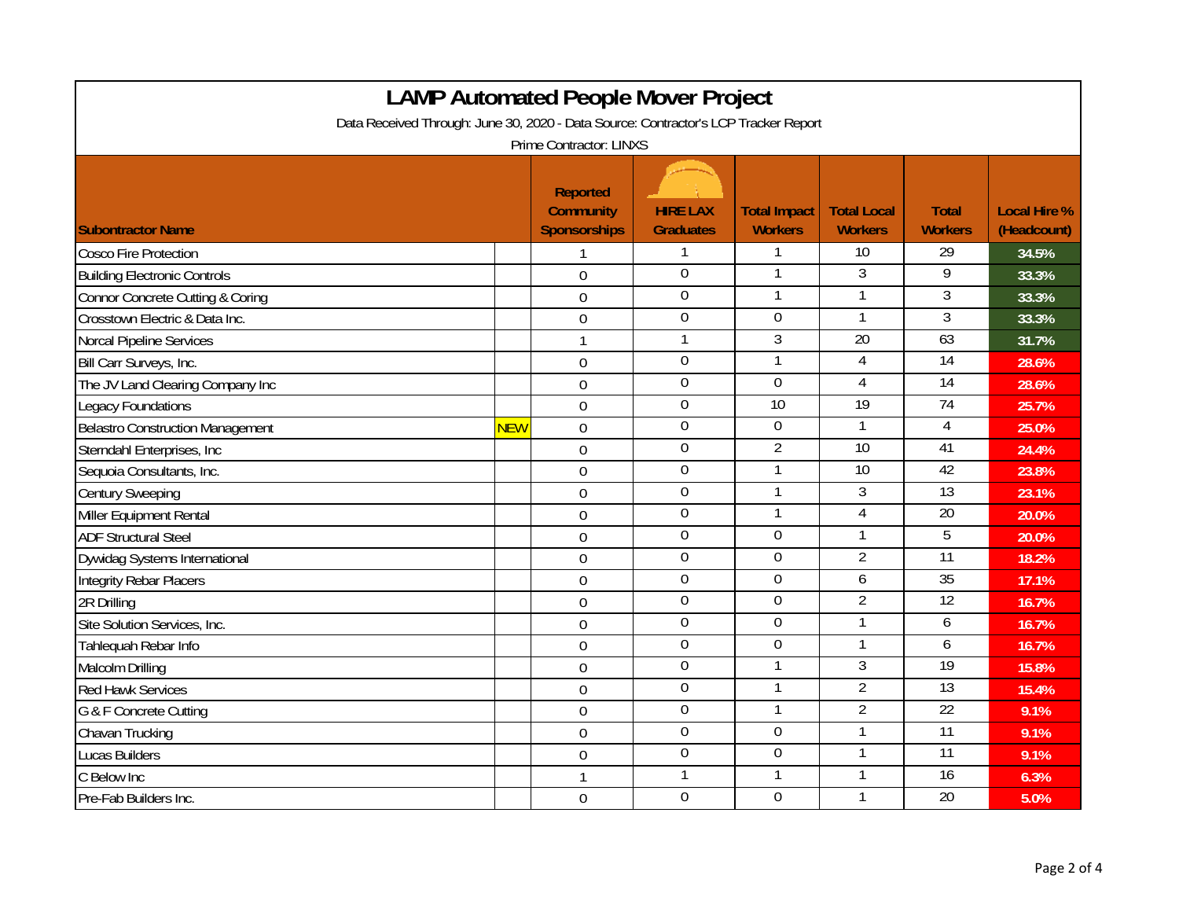| <b>LAMP Automated People Mover Project</b>                                          |            |                                                            |                                     |                                       |                                      |                                |                                    |  |
|-------------------------------------------------------------------------------------|------------|------------------------------------------------------------|-------------------------------------|---------------------------------------|--------------------------------------|--------------------------------|------------------------------------|--|
| Data Received Through: June 30, 2020 - Data Source: Contractor's LCP Tracker Report |            |                                                            |                                     |                                       |                                      |                                |                                    |  |
| Prime Contractor: LINXS                                                             |            |                                                            |                                     |                                       |                                      |                                |                                    |  |
| <b>Subontractor Name</b>                                                            |            | <b>Reported</b><br><b>Community</b><br><b>Sponsorships</b> | <b>HIRE LAX</b><br><b>Graduates</b> | <b>Total Impact</b><br><b>Workers</b> | <b>Total Local</b><br><b>Workers</b> | <b>Total</b><br><b>Workers</b> | <b>Local Hire %</b><br>(Headcount) |  |
| <b>Cosco Fire Protection</b>                                                        |            |                                                            | 1                                   | 1                                     | $\overline{10}$                      | $\overline{29}$                | 34.5%                              |  |
| <b>Building Electronic Controls</b>                                                 |            | $\mathbf 0$                                                | $\mathbf 0$                         | 1                                     | 3                                    | 9                              | 33.3%                              |  |
| <b>Connor Concrete Cutting &amp; Coring</b>                                         |            | $\mathbf 0$                                                | $\boldsymbol{0}$                    | $\mathbf{1}$                          | 1                                    | 3                              | 33.3%                              |  |
| Crosstown Electric & Data Inc.                                                      |            | $\mathbf 0$                                                | $\overline{0}$                      | 0                                     | 1                                    | $\overline{3}$                 | 33.3%                              |  |
| Norcal Pipeline Services                                                            |            | $\mathbf{1}$                                               | 1                                   | 3                                     | $\overline{20}$                      | 63                             | 31.7%                              |  |
| Bill Carr Surveys, Inc.                                                             |            | $\mathbf 0$                                                | $\overline{0}$                      | $\mathbf{1}$                          | $\overline{4}$                       | $\overline{14}$                | 28.6%                              |  |
| The JV Land Clearing Company Inc                                                    |            | $\mathbf 0$                                                | $\boldsymbol{0}$                    | $\boldsymbol{0}$                      | $\overline{4}$                       | $\overline{14}$                | 28.6%                              |  |
| Legacy Foundations                                                                  |            | $\mathbf 0$                                                | $\overline{0}$                      | 10                                    | 19                                   | 74                             | 25.7%                              |  |
| <b>Belastro Construction Management</b>                                             | <b>NEW</b> | $\mathbf 0$                                                | $\mathbf 0$                         | $\mathbf 0$                           | $\mathbf{1}$                         | $\overline{4}$                 | 25.0%                              |  |
| Sterndahl Enterprises, Inc.                                                         |            | $\mathbf 0$                                                | $\mathbf 0$                         | $\overline{2}$                        | $\overline{10}$                      | 41                             | 24.4%                              |  |
| Sequoia Consultants, Inc.                                                           |            | $\overline{0}$                                             | $\mathbf 0$                         | $\mathbf{1}$                          | $\overline{10}$                      | 42                             | 23.8%                              |  |
| <b>Century Sweeping</b>                                                             |            | $\mathbf 0$                                                | $\mathbf 0$                         | $\mathbf{1}$                          | 3                                    | $\overline{13}$                | 23.1%                              |  |
| Miller Equipment Rental                                                             |            | $\mathbf 0$                                                | $\boldsymbol{0}$                    | 1                                     | $\overline{4}$                       | 20                             | 20.0%                              |  |
| <b>ADF Structural Steel</b>                                                         |            | $\mathbf 0$                                                | $\mathbf 0$                         | $\boldsymbol{0}$                      | 1                                    | 5                              | 20.0%                              |  |
| Dywidag Systems International                                                       |            | $\mathbf 0$                                                | $\mathbf 0$                         | $\mathbf 0$                           | $\overline{2}$                       | $\overline{11}$                | 18.2%                              |  |
| <b>Integrity Rebar Placers</b>                                                      |            | $\mathbf 0$                                                | $\overline{0}$                      | $\overline{0}$                        | 6                                    | 35                             | 17.1%                              |  |
| 2R Drilling                                                                         |            | $\mathbf 0$                                                | $\overline{0}$                      | $\overline{0}$                        | $\overline{2}$                       | 12                             | 16.7%                              |  |
| Site Solution Services, Inc.                                                        |            | $\mathbf 0$                                                | $\overline{0}$                      | $\mathbf 0$                           | $\mathbf{1}$                         | 6                              | 16.7%                              |  |
| Tahlequah Rebar Info                                                                |            | $\mathbf 0$                                                | $\overline{0}$                      | $\overline{0}$                        | $\mathbf{1}$                         | 6                              | 16.7%                              |  |
| Malcolm Drilling                                                                    |            | $\mathbf 0$                                                | $\overline{0}$                      | $\overline{1}$                        | $\overline{3}$                       | 19                             | 15.8%                              |  |
| <b>Red Hawk Services</b>                                                            |            | $\mathbf 0$                                                | $\overline{0}$                      | 1                                     | $\overline{2}$                       | 13                             | 15.4%                              |  |
| G & F Concrete Cutting                                                              |            | $\overline{0}$                                             | $\mathbf 0$                         | $\mathbf{1}$                          | $\overline{2}$                       | 22                             | 9.1%                               |  |
| Chavan Trucking                                                                     |            | $\overline{0}$                                             | $\overline{0}$                      | $\overline{0}$                        | $\mathbf{1}$                         | $\overline{11}$                | 9.1%                               |  |
| <b>Lucas Builders</b>                                                               |            | $\overline{0}$                                             | $\overline{0}$                      | $\overline{0}$                        | $\mathbf{1}$                         | $\overline{11}$                | 9.1%                               |  |
| C Below Inc                                                                         |            | $\mathbf{1}$                                               | 1                                   | 1                                     | $\mathbf{1}$                         | $\overline{16}$                | 6.3%                               |  |
| Pre-Fab Builders Inc.                                                               |            | $\mathbf 0$                                                | $\overline{0}$                      | $\mathbf 0$                           | 1                                    | $\overline{20}$                | 5.0%                               |  |

г

┑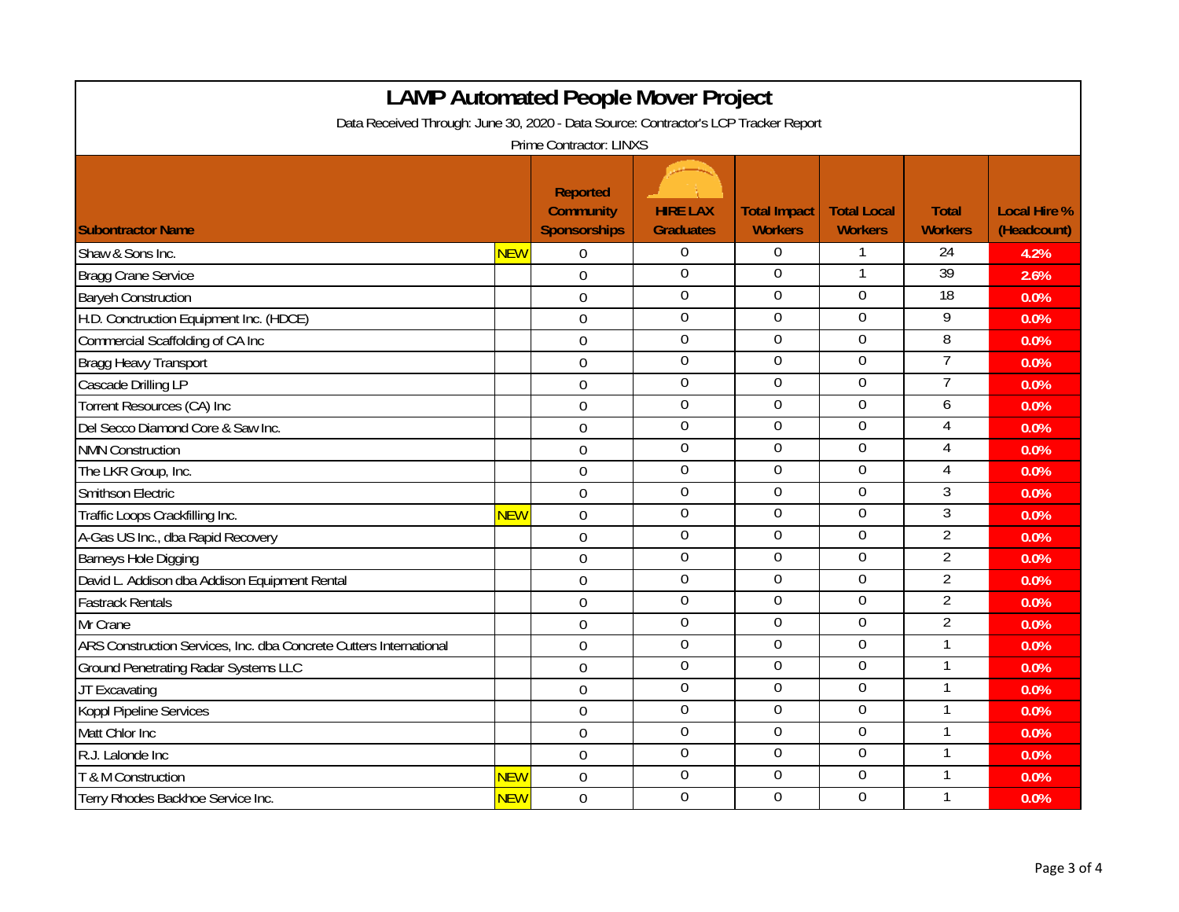|                                                                                     |            | <b>LAMP Automated People Mover Project</b>                 |                                     |                                       |                                      |                                |                                    |  |
|-------------------------------------------------------------------------------------|------------|------------------------------------------------------------|-------------------------------------|---------------------------------------|--------------------------------------|--------------------------------|------------------------------------|--|
| Data Received Through: June 30, 2020 - Data Source: Contractor's LCP Tracker Report |            |                                                            |                                     |                                       |                                      |                                |                                    |  |
| Prime Contractor: LINXS                                                             |            |                                                            |                                     |                                       |                                      |                                |                                    |  |
| <b>ISubontractor Name</b>                                                           |            | <b>Reported</b><br><b>Community</b><br><b>Sponsorships</b> | <b>HIRE LAX</b><br><b>Graduates</b> | <b>Total Impact</b><br><b>Workers</b> | <b>Total Local</b><br><b>Workers</b> | <b>Total</b><br><b>Workers</b> | <b>Local Hire %</b><br>(Headcount) |  |
| Shaw & Sons Inc.                                                                    | <b>NEW</b> | $\Omega$                                                   | $\overline{0}$                      | $\overline{0}$                        | 1                                    | 24                             | 4.2%                               |  |
| <b>Bragg Crane Service</b>                                                          |            | $\overline{0}$                                             | $\overline{0}$                      | 0                                     | 1                                    | 39                             | 2.6%                               |  |
| <b>Baryeh Construction</b>                                                          |            | $\overline{0}$                                             | $\overline{0}$                      | 0                                     | $\overline{0}$                       | 18                             | 0.0%                               |  |
| H.D. Conctruction Equipment Inc. (HDCE)                                             |            | $\mathbf 0$                                                | $\mathbf 0$                         | 0                                     | $\mathbf 0$                          | 9                              | 0.0%                               |  |
| Commercial Scaffolding of CA Inc                                                    |            | $\mathbf 0$                                                | $\mathbf 0$                         | $\mathbf 0$                           | $\mathbf 0$                          | 8                              | 0.0%                               |  |
| Bragg Heavy Transport                                                               |            | $\overline{0}$                                             | $\overline{0}$                      | $\overline{0}$                        | $\mathbf 0$                          | $\overline{7}$                 | 0.0%                               |  |
| Cascade Drilling LP                                                                 |            | $\overline{0}$                                             | $\overline{0}$                      | $\overline{0}$                        | $\overline{0}$                       | $\overline{7}$                 | 0.0%                               |  |
| Torrent Resources (CA) Inc                                                          |            | $\mathbf 0$                                                | $\overline{0}$                      | $\mathbf 0$                           | $\overline{0}$                       | 6                              | 0.0%                               |  |
| Del Secco Diamond Core & Saw Inc.                                                   |            | $\overline{0}$                                             | $\mathbf 0$                         | $\mathbf 0$                           | $\mathbf 0$                          | 4                              | 0.0%                               |  |
| <b>NMN Construction</b>                                                             |            | $\mathbf 0$                                                | $\mathbf 0$                         | $\mathbf 0$                           | $\mathbf 0$                          | $\overline{4}$                 | 0.0%                               |  |
| The LKR Group, Inc.                                                                 |            | $\overline{0}$                                             | $\overline{0}$                      | 0                                     | $\overline{0}$                       | $\overline{4}$                 | 0.0%                               |  |
| Smithson Electric                                                                   |            | $\mathbf 0$                                                | $\mathbf 0$                         | $\mathbf 0$                           | $\mathbf 0$                          | 3                              | 0.0%                               |  |
| Traffic Loops Crackfilling Inc.                                                     | <b>NEW</b> | $\mathbf 0$                                                | $\mathbf 0$                         | $\boldsymbol{0}$                      | $\boldsymbol{0}$                     | $\mathfrak{Z}$                 | 0.0%                               |  |
| A-Gas US Inc., dba Rapid Recovery                                                   |            | $\mathbf 0$                                                | $\mathbf 0$                         | $\boldsymbol{0}$                      | $\mathbf 0$                          | $\overline{2}$                 | 0.0%                               |  |
| Barneys Hole Digging                                                                |            | $\overline{0}$                                             | $\overline{0}$                      | $\overline{0}$                        | $\mathbf 0$                          | $\overline{2}$                 | 0.0%                               |  |
| David L. Addison dba Addison Equipment Rental                                       |            | $\mathbf 0$                                                | $\mathbf 0$                         | $\mathbf 0$                           | $\mathbf 0$                          | $\overline{2}$                 | 0.0%                               |  |
| <b>Fastrack Rentals</b>                                                             |            | $\overline{0}$                                             | $\overline{0}$                      | $\overline{0}$                        | $\overline{0}$                       | $\overline{2}$                 | 0.0%                               |  |
| Mr Crane                                                                            |            | $\overline{0}$                                             | $\mathbf 0$                         | $\mathbf 0$                           | $\mathbf 0$                          | $\overline{2}$                 | 0.0%                               |  |
| ARS Construction Services, Inc. dba Concrete Cutters International                  |            | $\overline{0}$                                             | $\overline{0}$                      | $\overline{0}$                        | $\overline{0}$                       | $\mathbf{1}$                   | 0.0%                               |  |
| <b>Ground Penetrating Radar Systems LLC</b>                                         |            | $\mathbf 0$                                                | $\Omega$                            | $\overline{0}$                        | $\overline{0}$                       | 1                              | 0.0%                               |  |
| JT Excavating                                                                       |            | $\mathbf 0$                                                | $\boldsymbol{0}$                    | 0                                     | $\boldsymbol{0}$                     | 1                              | 0.0%                               |  |
| Koppl Pipeline Services                                                             |            | $\mathbf 0$                                                | $\mathbf 0$                         | $\mathbf 0$                           | $\mathbf 0$                          | 1                              | 0.0%                               |  |
| Matt Chlor Inc                                                                      |            | $\overline{0}$                                             | $\overline{0}$                      | $\overline{0}$                        | $\overline{0}$                       | $\mathbf{1}$                   | 0.0%                               |  |
| R.J. Lalonde Inc                                                                    |            | $\mathbf 0$                                                | $\overline{0}$                      | 0                                     | $\overline{0}$                       | 1                              | 0.0%                               |  |
| T & M Construction                                                                  | <b>NEW</b> | $\mathbf 0$                                                | $\mathbf 0$                         | 0                                     | $\boldsymbol{0}$                     | 1                              | 0.0%                               |  |
| Terry Rhodes Backhoe Service Inc.                                                   | <b>NEW</b> | $\overline{0}$                                             | $\mathbf 0$                         | $\mathbf 0$                           | $\mathbf 0$                          | 1                              | 0.0%                               |  |